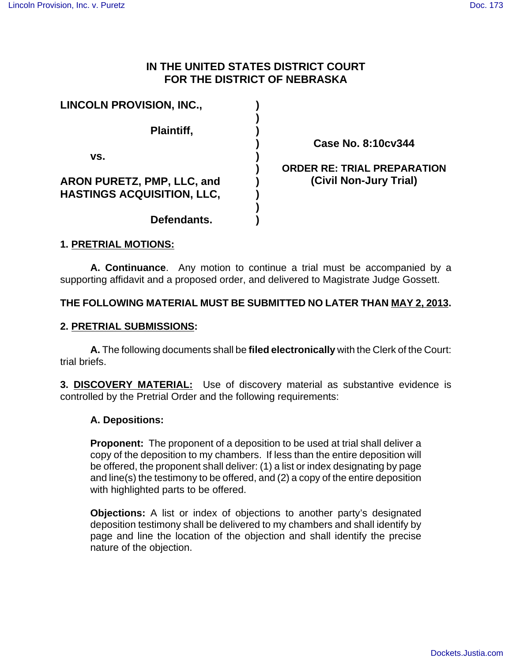# **IN THE UNITED STATES DISTRICT COURT FOR THE DISTRICT OF NEBRASKA**

| <b>LINCOLN PROVISION, INC.,</b>                                        |  |
|------------------------------------------------------------------------|--|
| Plaintiff,                                                             |  |
| VS.                                                                    |  |
| <b>ARON PURETZ, PMP, LLC, and</b><br><b>HASTINGS ACQUISITION, LLC,</b> |  |
| Defendants.                                                            |  |

**Case No. 8:10cv344**

## **ORDER RE: TRIAL PREPARATION (Civil Non-Jury Trial)**

## **1. PRETRIAL MOTIONS:**

**A. Continuance**. Any motion to continue a trial must be accompanied by a supporting affidavit and a proposed order, and delivered to Magistrate Judge Gossett.

## **THE FOLLOWING MATERIAL MUST BE SUBMITTED NO LATER THAN MAY 2, 2013.**

## **2. PRETRIAL SUBMISSIONS:**

**A.** The following documents shall be **filed electronically** with the Clerk of the Court: trial briefs.

**3. DISCOVERY MATERIAL:** Use of discovery material as substantive evidence is controlled by the Pretrial Order and the following requirements:

## **A. Depositions:**

**Proponent:** The proponent of a deposition to be used at trial shall deliver a copy of the deposition to my chambers. If less than the entire deposition will be offered, the proponent shall deliver: (1) a list or index designating by page and line(s) the testimony to be offered, and (2) a copy of the entire deposition with highlighted parts to be offered.

**Objections:** A list or index of objections to another party's designated deposition testimony shall be delivered to my chambers and shall identify by page and line the location of the objection and shall identify the precise nature of the objection.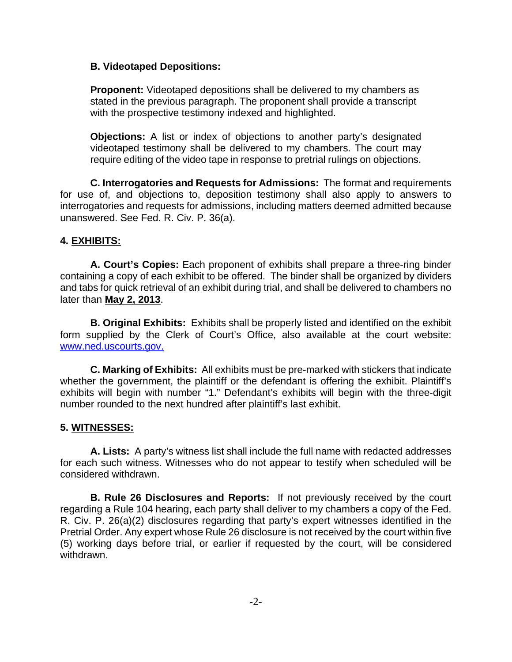#### **B. Videotaped Depositions:**

**Proponent:** Videotaped depositions shall be delivered to my chambers as stated in the previous paragraph. The proponent shall provide a transcript with the prospective testimony indexed and highlighted.

**Objections:** A list or index of objections to another party's designated videotaped testimony shall be delivered to my chambers. The court may require editing of the video tape in response to pretrial rulings on objections.

**C. Interrogatories and Requests for Admissions:** The format and requirements for use of, and objections to, deposition testimony shall also apply to answers to interrogatories and requests for admissions, including matters deemed admitted because unanswered. See Fed. R. Civ. P. 36(a).

## **4. EXHIBITS:**

**A. Court's Copies:** Each proponent of exhibits shall prepare a three-ring binder containing a copy of each exhibit to be offered. The binder shall be organized by dividers and tabs for quick retrieval of an exhibit during trial, and shall be delivered to chambers no later than **May 2, 2013**.

**B. Original Exhibits:** Exhibits shall be properly listed and identified on the exhibit form supplied by the Clerk of Court's Office, also available at the court website: www.ned.uscourts.gov.

**C. Marking of Exhibits:** All exhibits must be pre-marked with stickers that indicate whether the government, the plaintiff or the defendant is offering the exhibit. Plaintiff's exhibits will begin with number "1." Defendant's exhibits will begin with the three-digit number rounded to the next hundred after plaintiff's last exhibit.

## **5. WITNESSES:**

**A. Lists:** A party's witness list shall include the full name with redacted addresses for each such witness. Witnesses who do not appear to testify when scheduled will be considered withdrawn.

**B. Rule 26 Disclosures and Reports:** If not previously received by the court regarding a Rule 104 hearing, each party shall deliver to my chambers a copy of the Fed. R. Civ. P. 26(a)(2) disclosures regarding that party's expert witnesses identified in the Pretrial Order. Any expert whose Rule 26 disclosure is not received by the court within five (5) working days before trial, or earlier if requested by the court, will be considered withdrawn.